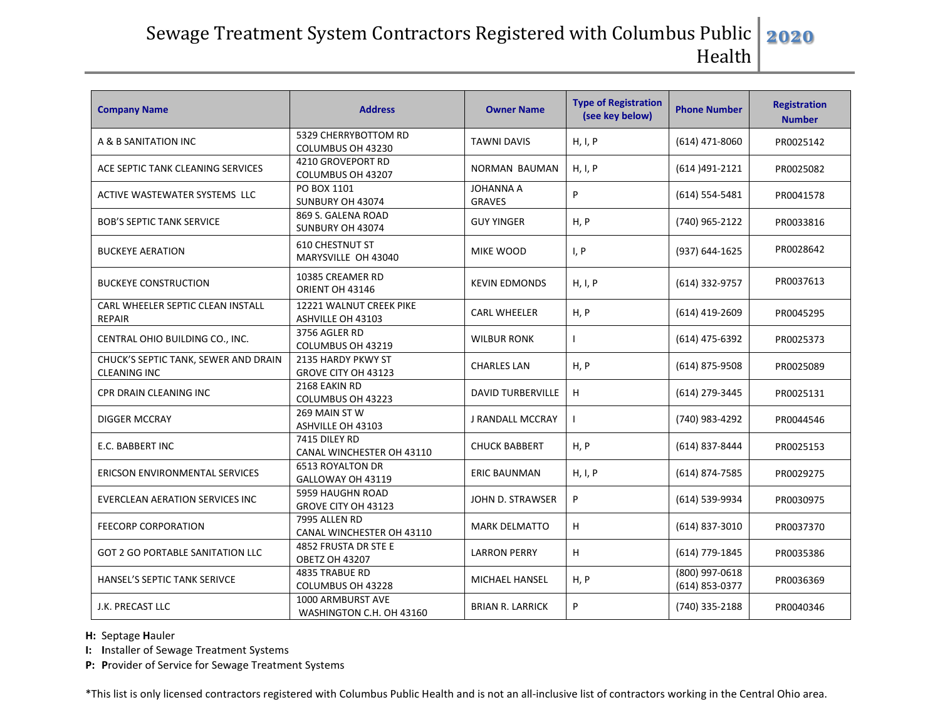## Sewage Treatment System Contractors Registered with Columbus Public | Health **2020**

| <b>Company Name</b>                                         | <b>Address</b>                                | <b>Owner Name</b>                 | <b>Type of Registration</b><br>(see key below) | <b>Phone Number</b>              | <b>Registration</b><br><b>Number</b> |
|-------------------------------------------------------------|-----------------------------------------------|-----------------------------------|------------------------------------------------|----------------------------------|--------------------------------------|
| A & B SANITATION INC                                        | 5329 CHERRYBOTTOM RD<br>COLUMBUS OH 43230     | <b>TAWNI DAVIS</b>                | H, I, P                                        | (614) 471-8060                   | PR0025142                            |
| ACE SEPTIC TANK CLEANING SERVICES                           | 4210 GROVEPORT RD<br>COLUMBUS OH 43207        | <b>NORMAN BAUMAN</b>              | H, I, P                                        | (614) 491-2121                   | PR0025082                            |
| ACTIVE WASTEWATER SYSTEMS LLC                               | PO BOX 1101<br>SUNBURY OH 43074               | <b>JOHANNA A</b><br><b>GRAVES</b> | P                                              | $(614) 554 - 5481$               | PR0041578                            |
| <b>BOB'S SEPTIC TANK SERVICE</b>                            | 869 S. GALENA ROAD<br>SUNBURY OH 43074        | <b>GUY YINGER</b>                 | H, P                                           | (740) 965-2122                   | PR0033816                            |
| <b>BUCKEYE AERATION</b>                                     | <b>610 CHESTNUT ST</b><br>MARYSVILLE OH 43040 | MIKE WOOD                         | I, P                                           | (937) 644-1625                   | PR0028642                            |
| <b>BUCKEYE CONSTRUCTION</b>                                 | 10385 CREAMER RD<br>ORIENT OH 43146           | <b>KEVIN EDMONDS</b>              | H, I, P                                        | (614) 332-9757                   | PR0037613                            |
| CARL WHEELER SEPTIC CLEAN INSTALL<br><b>REPAIR</b>          | 12221 WALNUT CREEK PIKE<br>ASHVILLE OH 43103  | <b>CARL WHEELER</b>               | H, P                                           | (614) 419-2609                   | PR0045295                            |
| CENTRAL OHIO BUILDING CO., INC.                             | 3756 AGLER RD<br>COLUMBUS OH 43219            | <b>WILBUR RONK</b>                |                                                | (614) 475-6392                   | PR0025373                            |
| CHUCK'S SEPTIC TANK, SEWER AND DRAIN<br><b>CLEANING INC</b> | 2135 HARDY PKWY ST<br>GROVE CITY OH 43123     | <b>CHARLES LAN</b>                | H, P                                           | (614) 875-9508                   | PR0025089                            |
| CPR DRAIN CLEANING INC                                      | 2168 EAKIN RD<br>COLUMBUS OH 43223            | <b>DAVID TURBERVILLE</b>          | H                                              | (614) 279-3445                   | PR0025131                            |
| <b>DIGGER MCCRAY</b>                                        | 269 MAIN ST W<br>ASHVILLE OH 43103            | J RANDALL MCCRAY                  |                                                | (740) 983-4292                   | PR0044546                            |
| E.C. BABBERT INC                                            | 7415 DILEY RD<br>CANAL WINCHESTER OH 43110    | <b>CHUCK BABBERT</b>              | H, P                                           | (614) 837-8444                   | PR0025153                            |
| ERICSON ENVIRONMENTAL SERVICES                              | <b>6513 ROYALTON DR</b><br>GALLOWAY OH 43119  | <b>ERIC BAUNMAN</b>               | H, I, P                                        | (614) 874-7585                   | PR0029275                            |
| EVERCLEAN AERATION SERVICES INC                             | 5959 HAUGHN ROAD<br>GROVE CITY OH 43123       | JOHN D. STRAWSER                  | P                                              | (614) 539-9934                   | PR0030975                            |
| <b>FEECORP CORPORATION</b>                                  | 7995 ALLEN RD<br>CANAL WINCHESTER OH 43110    | <b>MARK DELMATTO</b>              | н                                              | $(614)$ 837-3010                 | PR0037370                            |
| <b>GOT 2 GO PORTABLE SANITATION LLC</b>                     | 4852 FRUSTA DR STE E<br><b>OBETZ OH 43207</b> | <b>LARRON PERRY</b>               | н                                              | (614) 779-1845                   | PR0035386                            |
| HANSEL'S SEPTIC TANK SERIVCE                                | 4835 TRABUE RD<br>COLUMBUS OH 43228           | MICHAEL HANSEL                    | H, P                                           | (800) 997-0618<br>(614) 853-0377 | PR0036369                            |
| J.K. PRECAST LLC                                            | 1000 ARMBURST AVE<br>WASHINGTON C.H. OH 43160 | <b>BRIAN R. LARRICK</b>           | P                                              | (740) 335-2188                   | PR0040346                            |

**H:** Septage **H**auler

**I: I**nstaller of Sewage Treatment Systems

**P: P**rovider of Service for Sewage Treatment Systems

\*This list is only licensed contractors registered with Columbus Public Health and is not an all-inclusive list of contractors working in the Central Ohio area.